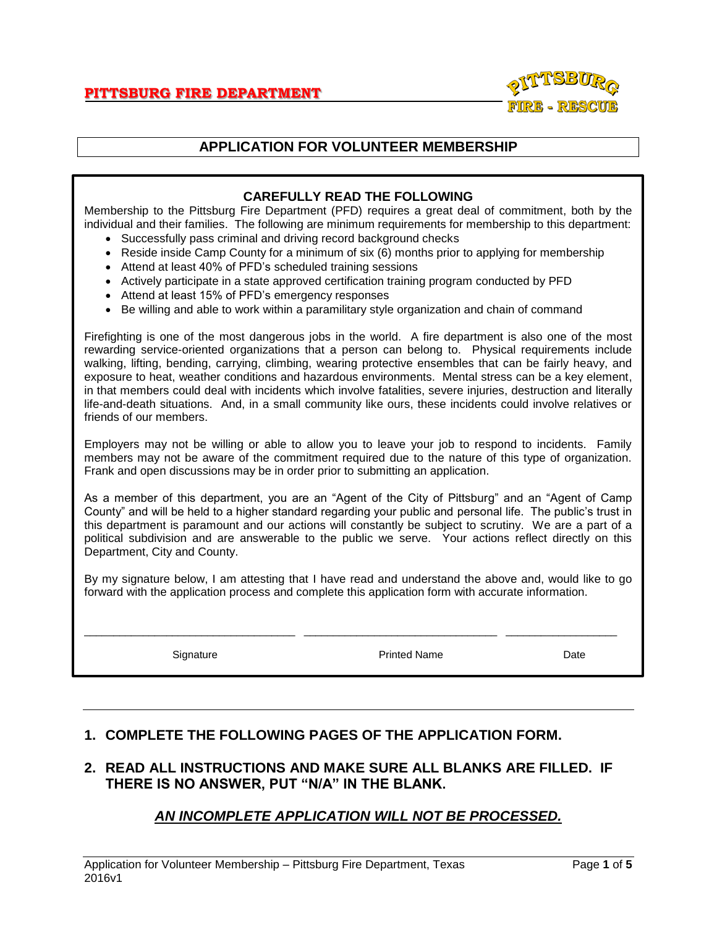

# **APPLICATION FOR VOLUNTEER MEMBERSHIP**

### **CAREFULLY READ THE FOLLOWING**

Membership to the Pittsburg Fire Department (PFD) requires a great deal of commitment, both by the individual and their families. The following are minimum requirements for membership to this department:

- Successfully pass criminal and driving record background checks
- Reside inside Camp County for a minimum of six (6) months prior to applying for membership
- Attend at least 40% of PFD's scheduled training sessions
- Actively participate in a state approved certification training program conducted by PFD
- Attend at least 15% of PFD's emergency responses
- Be willing and able to work within a paramilitary style organization and chain of command

Firefighting is one of the most dangerous jobs in the world. A fire department is also one of the most rewarding service-oriented organizations that a person can belong to. Physical requirements include walking, lifting, bending, carrying, climbing, wearing protective ensembles that can be fairly heavy, and exposure to heat, weather conditions and hazardous environments. Mental stress can be a key element, in that members could deal with incidents which involve fatalities, severe injuries, destruction and literally life-and-death situations. And, in a small community like ours, these incidents could involve relatives or friends of our members.

Employers may not be willing or able to allow you to leave your job to respond to incidents. Family members may not be aware of the commitment required due to the nature of this type of organization. Frank and open discussions may be in order prior to submitting an application.

As a member of this department, you are an "Agent of the City of Pittsburg" and an "Agent of Camp County" and will be held to a higher standard regarding your public and personal life. The public's trust in this department is paramount and our actions will constantly be subject to scrutiny. We are a part of a political subdivision and are answerable to the public we serve. Your actions reflect directly on this Department, City and County.

By my signature below, I am attesting that I have read and understand the above and, would like to go forward with the application process and complete this application form with accurate information.

\_\_\_\_\_\_\_\_\_\_\_\_\_\_\_\_\_\_\_\_\_\_\_\_\_\_\_\_\_\_\_\_\_\_\_\_ \_\_\_\_\_\_\_\_\_\_\_\_\_\_\_\_\_\_\_\_\_\_\_\_\_\_\_\_\_\_\_\_\_ \_\_\_\_\_\_\_\_\_\_\_\_\_\_\_\_\_\_\_

Signature **Printed Name** Printed Name **Date** 

#### **1. COMPLETE THE FOLLOWING PAGES OF THE APPLICATION FORM.**

## **2. READ ALL INSTRUCTIONS AND MAKE SURE ALL BLANKS ARE FILLED. IF THERE IS NO ANSWER, PUT "N/A" IN THE BLANK.**

## *AN INCOMPLETE APPLICATION WILL NOT BE PROCESSED.*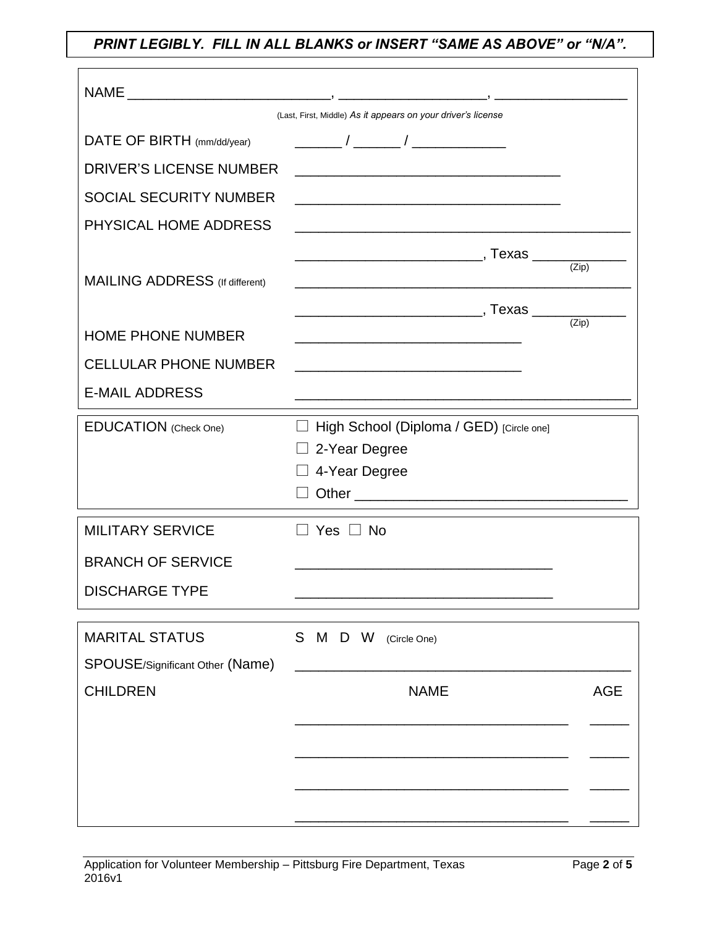*PRINT LEGIBLY. FILL IN ALL BLANKS or INSERT "SAME AS ABOVE" or "N/A".*

| (Last, First, Middle) As it appears on your driver's license |                                                                                     |                    |  |  |  |  |  |
|--------------------------------------------------------------|-------------------------------------------------------------------------------------|--------------------|--|--|--|--|--|
| DATE OF BIRTH (mm/dd/year)                                   |                                                                                     |                    |  |  |  |  |  |
| <b>DRIVER'S LICENSE NUMBER</b>                               |                                                                                     |                    |  |  |  |  |  |
| <b>SOCIAL SECURITY NUMBER</b>                                |                                                                                     |                    |  |  |  |  |  |
| PHYSICAL HOME ADDRESS                                        | <u> 1989 - Johann Stoff, amerikansk politiker (d. 1989)</u>                         |                    |  |  |  |  |  |
|                                                              |                                                                                     | $\overline{(Zip)}$ |  |  |  |  |  |
| <b>MAILING ADDRESS</b> (If different)                        | <u> 1989 - Johann Stoff, amerikansk politiker (* 1908)</u>                          |                    |  |  |  |  |  |
|                                                              |                                                                                     | $\overline{(Zip)}$ |  |  |  |  |  |
| <b>HOME PHONE NUMBER</b>                                     |                                                                                     |                    |  |  |  |  |  |
| <b>CELLULAR PHONE NUMBER</b>                                 |                                                                                     |                    |  |  |  |  |  |
| <b>E-MAIL ADDRESS</b>                                        | <u> 1989 - Johann Stoff, amerikansk politiker (d. 1989)</u>                         |                    |  |  |  |  |  |
| <b>EDUCATION</b> (Check One)                                 | □ High School (Diploma / GED) [Circle one]<br>$\Box$ 2-Year Degree<br>4-Year Degree |                    |  |  |  |  |  |
| <b>MILITARY SERVICE</b>                                      | $\Box$ Yes $\Box$ No                                                                |                    |  |  |  |  |  |
| <b>BRANCH OF SERVICE</b>                                     |                                                                                     |                    |  |  |  |  |  |
| <b>DISCHARGE TYPE</b>                                        |                                                                                     |                    |  |  |  |  |  |
| <b>MARITAL STATUS</b>                                        | S M D W<br>(Circle One)                                                             |                    |  |  |  |  |  |
| SPOUSE/Significant Other (Name)                              |                                                                                     |                    |  |  |  |  |  |
| <b>CHILDREN</b>                                              | <b>NAME</b>                                                                         | <b>AGE</b>         |  |  |  |  |  |
|                                                              |                                                                                     |                    |  |  |  |  |  |
|                                                              |                                                                                     |                    |  |  |  |  |  |
|                                                              |                                                                                     |                    |  |  |  |  |  |
|                                                              |                                                                                     |                    |  |  |  |  |  |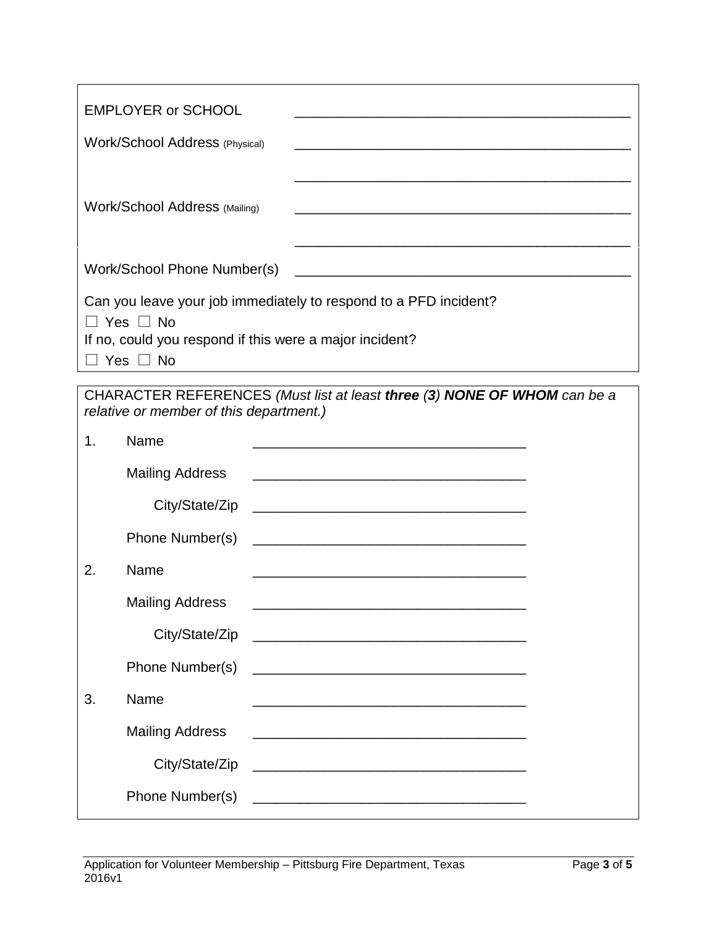| <b>EMPLOYER or SCHOOL</b>                                                                                                                      |  |
|------------------------------------------------------------------------------------------------------------------------------------------------|--|
| <b>Work/School Address (Physical)</b>                                                                                                          |  |
|                                                                                                                                                |  |
| <b>Work/School Address (Mailing)</b>                                                                                                           |  |
|                                                                                                                                                |  |
| Work/School Phone Number(s)<br><u> 2000 - James Alexander (h. 1888).</u><br>2001 - James Alexandri, frantziar italiar eta idazlea (h. 1882).   |  |
| Can you leave your job immediately to respond to a PFD incident?                                                                               |  |
| $\Box$ Yes $\Box$ No<br>If no, could you respond if this were a major incident?                                                                |  |
| $\Box$ Yes $\Box$ No                                                                                                                           |  |
| CHARACTER REFERENCES (Must list at least three (3) NONE OF WHOM can be a<br>relative or member of this department.)                            |  |
| Name<br>1.<br><u> 1989 - Johann Stoff, amerikansk politiker (d. 1989)</u>                                                                      |  |
| <b>Mailing Address</b><br><u> 1989 - Johann John Stone, markin film yn y brenin y brenin y brenin y brenin y brenin y brenin y brenin y br</u> |  |
|                                                                                                                                                |  |
| Phone Number(s)<br><u> 1980 - Johann John Stone, mars eta biztanleria (h. 1980).</u>                                                           |  |
| Name<br>2.<br><u> 1980 - Johann Barbara, martxa alemaniar arg</u>                                                                              |  |
| <b>Mailing Address</b>                                                                                                                         |  |
|                                                                                                                                                |  |
|                                                                                                                                                |  |
| 3.<br>Name<br><u> 1989 - Johann Stoff, amerikansk politiker (* 1908)</u>                                                                       |  |
| <b>Mailing Address</b>                                                                                                                         |  |
| City/State/Zip                                                                                                                                 |  |
|                                                                                                                                                |  |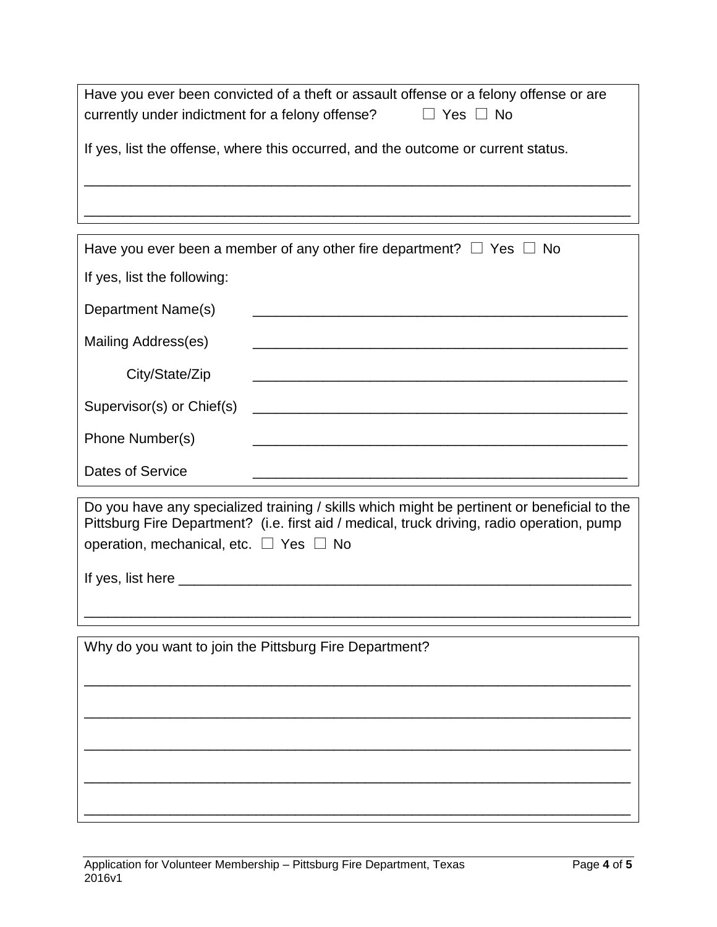| Have you ever been convicted of a theft or assault offense or a felony offense or are<br>currently under indictment for a felony offense?<br>$\Box$ Yes $\Box$ No |  |  |  |  |  |
|-------------------------------------------------------------------------------------------------------------------------------------------------------------------|--|--|--|--|--|
| If yes, list the offense, where this occurred, and the outcome or current status.                                                                                 |  |  |  |  |  |
|                                                                                                                                                                   |  |  |  |  |  |
| Have you ever been a member of any other fire department? $\Box$ Yes $\Box$ No                                                                                    |  |  |  |  |  |
| If yes, list the following:                                                                                                                                       |  |  |  |  |  |
| Department Name(s)                                                                                                                                                |  |  |  |  |  |

| Department Name(S)  |  |
|---------------------|--|
| Mailing Address(es) |  |
| City/State/Zip      |  |
|                     |  |
| Phone Number(s)     |  |
| Dates of Service    |  |

| Do you have any specialized training / skills which might be pertinent or beneficial to the<br>Pittsburg Fire Department? (i.e. first aid / medical, truck driving, radio operation, pump<br>operation, mechanical, etc. $\Box$ Yes $\Box$ No |
|-----------------------------------------------------------------------------------------------------------------------------------------------------------------------------------------------------------------------------------------------|
| If yes, list here                                                                                                                                                                                                                             |

\_\_\_\_\_\_\_\_\_\_\_\_\_\_\_\_\_\_\_\_\_\_\_\_\_\_\_\_\_\_\_\_\_\_\_\_\_\_\_\_\_\_\_\_\_\_\_\_\_\_\_\_\_\_\_\_\_\_\_\_\_\_\_\_\_\_\_\_\_\_

\_\_\_\_\_\_\_\_\_\_\_\_\_\_\_\_\_\_\_\_\_\_\_\_\_\_\_\_\_\_\_\_\_\_\_\_\_\_\_\_\_\_\_\_\_\_\_\_\_\_\_\_\_\_\_\_\_\_\_\_\_\_\_\_\_\_\_\_\_\_

\_\_\_\_\_\_\_\_\_\_\_\_\_\_\_\_\_\_\_\_\_\_\_\_\_\_\_\_\_\_\_\_\_\_\_\_\_\_\_\_\_\_\_\_\_\_\_\_\_\_\_\_\_\_\_\_\_\_\_\_\_\_\_\_\_\_\_\_\_\_

\_\_\_\_\_\_\_\_\_\_\_\_\_\_\_\_\_\_\_\_\_\_\_\_\_\_\_\_\_\_\_\_\_\_\_\_\_\_\_\_\_\_\_\_\_\_\_\_\_\_\_\_\_\_\_\_\_\_\_\_\_\_\_\_\_\_\_\_\_\_

\_\_\_\_\_\_\_\_\_\_\_\_\_\_\_\_\_\_\_\_\_\_\_\_\_\_\_\_\_\_\_\_\_\_\_\_\_\_\_\_\_\_\_\_\_\_\_\_\_\_\_\_\_\_\_\_\_\_\_\_\_\_\_\_\_\_\_\_\_\_

\_\_\_\_\_\_\_\_\_\_\_\_\_\_\_\_\_\_\_\_\_\_\_\_\_\_\_\_\_\_\_\_\_\_\_\_\_\_\_\_\_\_\_\_\_\_\_\_\_\_\_\_\_\_\_\_\_\_\_\_\_\_\_\_\_\_\_\_\_\_

Why do you want to join the Pittsburg Fire Department?